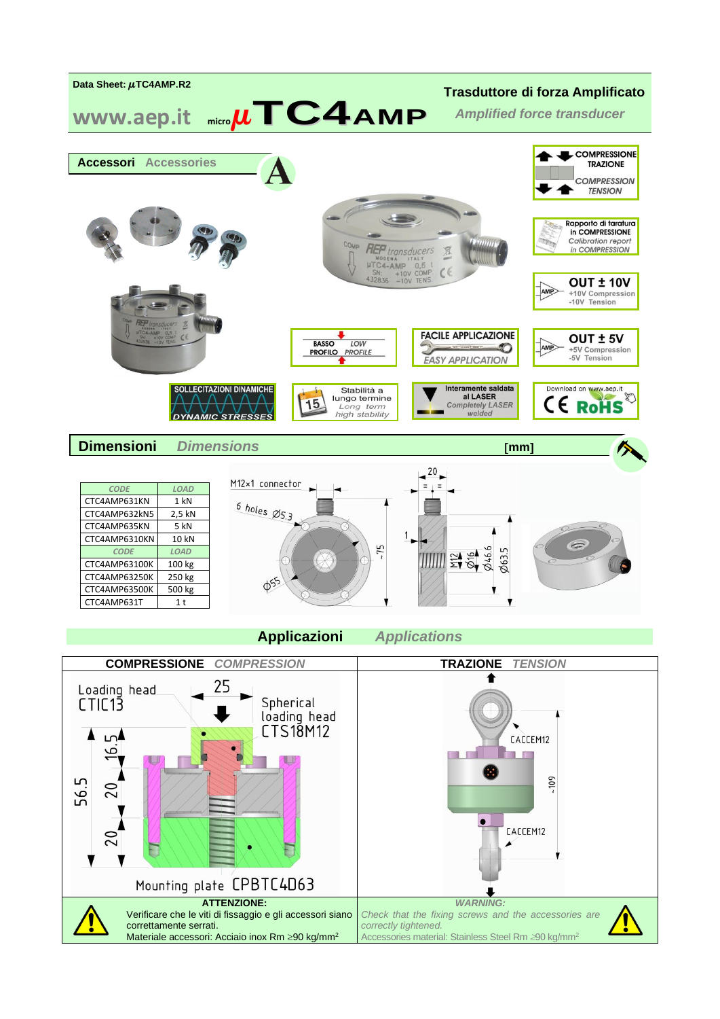

CTC4AMP6310KN 10 kN *CODE LOAD* CTC4AMP63100K 100 kg CTC4AMP63250K 250 kg<br>CTC4AMP63500K 500 kg CTC4AMP63500K CTC4AMP631T 1t



**Applicazioni** *Applications*